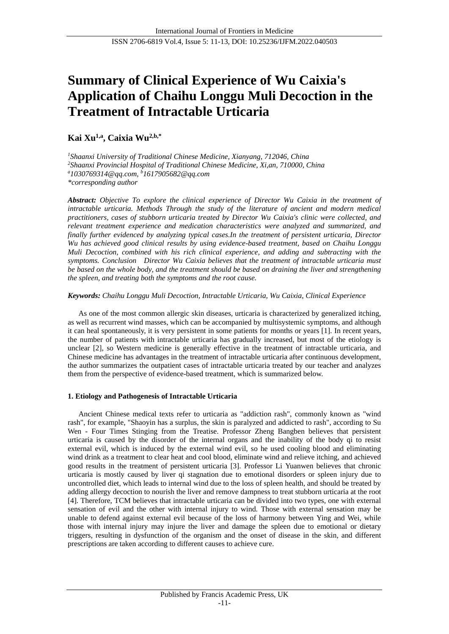# **Summary of Clinical Experience of Wu Caixia's Application of Chaihu Longgu Muli Decoction in the Treatment of Intractable Urticaria**

# **Kai Xu1,a, Caixia Wu2,b,\***

*<sup>1</sup>Shaanxi University of Traditional Chinese Medicine, Xianyang, 712046, China <sup>2</sup>Shaanxi Provincial Hospital of Traditional Chinese Medicine, Xi,an, 710000, China <sup>a</sup>1030769314@qq.com, <sup>b</sup>1617905682@qq.com \*corresponding author*

*Abstract: Objective To explore the clinical experience of Director Wu Caixia in the treatment of intractable urticaria. Methods Through the study of the literature of ancient and modern medical practitioners, cases of stubborn urticaria treated by Director Wu Caixia's clinic were collected, and relevant treatment experience and medication characteristics were analyzed and summarized, and finally further evidenced by analyzing typical cases.In the treatment of persistent urticaria, Director Wu has achieved good clinical results by using evidence-based treatment, based on Chaihu Longgu Muli Decoction, combined with his rich clinical experience, and adding and subtracting with the symptoms. Conclusion Director Wu Caixia believes that the treatment of intractable urticaria must be based on the whole body, and the treatment should be based on draining the liver and strengthening the spleen, and treating both the symptoms and the root cause.*

### *Keywords: Chaihu Longgu Muli Decoction, Intractable Urticaria, Wu Caixia, Clinical Experience*

As one of the most common allergic skin diseases, urticaria is characterized by generalized itching, as well as recurrent wind masses, which can be accompanied by multisystemic symptoms, and although it can heal spontaneously, it is very persistent in some patients for months or years [1]. In recent years, the number of patients with intractable urticaria has gradually increased, but most of the etiology is unclear [2], so Western medicine is generally effective in the treatment of intractable urticaria, and Chinese medicine has advantages in the treatment of intractable urticaria after continuous development, the author summarizes the outpatient cases of intractable urticaria treated by our teacher and analyzes them from the perspective of evidence-based treatment, which is summarized below.

## **1. Etiology and Pathogenesis of Intractable Urticaria**

Ancient Chinese medical texts refer to urticaria as "addiction rash", commonly known as "wind rash", for example, "Shaoyin has a surplus, the skin is paralyzed and addicted to rash", according to Su Wen - Four Times Stinging from the Treatise. Professor Zheng Bangben believes that persistent urticaria is caused by the disorder of the internal organs and the inability of the body qi to resist external evil, which is induced by the external wind evil, so he used cooling blood and eliminating wind drink as a treatment to clear heat and cool blood, eliminate wind and relieve itching, and achieved good results in the treatment of persistent urticaria [3]. Professor Li Yuanwen believes that chronic urticaria is mostly caused by liver qi stagnation due to emotional disorders or spleen injury due to uncontrolled diet, which leads to internal wind due to the loss of spleen health, and should be treated by adding allergy decoction to nourish the liver and remove dampness to treat stubborn urticaria at the root [4]. Therefore, TCM believes that intractable urticaria can be divided into two types, one with external sensation of evil and the other with internal injury to wind. Those with external sensation may be unable to defend against external evil because of the loss of harmony between Ying and Wei, while those with internal injury may injure the liver and damage the spleen due to emotional or dietary triggers, resulting in dysfunction of the organism and the onset of disease in the skin, and different prescriptions are taken according to different causes to achieve cure.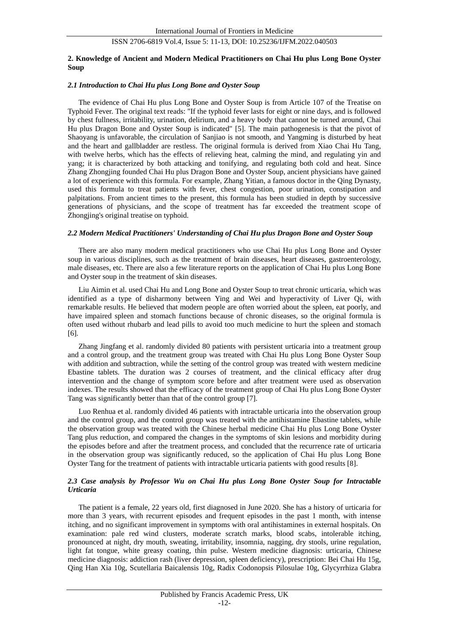# ISSN 2706-6819 Vol.4, Issue 5: 11-13, DOI: 10.25236/IJFM.2022.040503

#### **2. Knowledge of Ancient and Modern Medical Practitioners on Chai Hu plus Long Bone Oyster Soup**

#### *2.1 Introduction to Chai Hu plus Long Bone and Oyster Soup*

The evidence of Chai Hu plus Long Bone and Oyster Soup is from Article 107 of the Treatise on Typhoid Fever. The original text reads: "If the typhoid fever lasts for eight or nine days, and is followed by chest fullness, irritability, urination, delirium, and a heavy body that cannot be turned around, Chai Hu plus Dragon Bone and Oyster Soup is indicated" [5]. The main pathogenesis is that the pivot of Shaoyang is unfavorable, the circulation of Sanjiao is not smooth, and Yangming is disturbed by heat and the heart and gallbladder are restless. The original formula is derived from Xiao Chai Hu Tang, with twelve herbs, which has the effects of relieving heat, calming the mind, and regulating yin and yang; it is characterized by both attacking and tonifying, and regulating both cold and heat. Since Zhang Zhongjing founded Chai Hu plus Dragon Bone and Oyster Soup, ancient physicians have gained a lot of experience with this formula. For example, Zhang Yitian, a famous doctor in the Qing Dynasty, used this formula to treat patients with fever, chest congestion, poor urination, constipation and palpitations. From ancient times to the present, this formula has been studied in depth by successive generations of physicians, and the scope of treatment has far exceeded the treatment scope of Zhongjing's original treatise on typhoid.

#### *2.2 Modern Medical Practitioners' Understanding of Chai Hu plus Dragon Bone and Oyster Soup*

There are also many modern medical practitioners who use Chai Hu plus Long Bone and Oyster soup in various disciplines, such as the treatment of brain diseases, heart diseases, gastroenterology, male diseases, etc. There are also a few literature reports on the application of Chai Hu plus Long Bone and Oyster soup in the treatment of skin diseases.

Liu Aimin et al. used Chai Hu and Long Bone and Oyster Soup to treat chronic urticaria, which was identified as a type of disharmony between Ying and Wei and hyperactivity of Liver Qi, with remarkable results. He believed that modern people are often worried about the spleen, eat poorly, and have impaired spleen and stomach functions because of chronic diseases, so the original formula is often used without rhubarb and lead pills to avoid too much medicine to hurt the spleen and stomach [6].

Zhang Jingfang et al. randomly divided 80 patients with persistent urticaria into a treatment group and a control group, and the treatment group was treated with Chai Hu plus Long Bone Oyster Soup with addition and subtraction, while the setting of the control group was treated with western medicine Ebastine tablets. The duration was 2 courses of treatment, and the clinical efficacy after drug intervention and the change of symptom score before and after treatment were used as observation indexes. The results showed that the efficacy of the treatment group of Chai Hu plus Long Bone Oyster Tang was significantly better than that of the control group [7].

Luo Renhua et al. randomly divided 46 patients with intractable urticaria into the observation group and the control group, and the control group was treated with the antihistamine Ebastine tablets, while the observation group was treated with the Chinese herbal medicine Chai Hu plus Long Bone Oyster Tang plus reduction, and compared the changes in the symptoms of skin lesions and morbidity during the episodes before and after the treatment process, and concluded that the recurrence rate of urticaria in the observation group was significantly reduced, so the application of Chai Hu plus Long Bone Oyster Tang for the treatment of patients with intractable urticaria patients with good results [8].

#### *2.3 Case analysis by Professor Wu on Chai Hu plus Long Bone Oyster Soup for Intractable Urticaria*

The patient is a female, 22 years old, first diagnosed in June 2020. She has a history of urticaria for more than 3 years, with recurrent episodes and frequent episodes in the past 1 month, with intense itching, and no significant improvement in symptoms with oral antihistamines in external hospitals. On examination: pale red wind clusters, moderate scratch marks, blood scabs, intolerable itching, pronounced at night, dry mouth, sweating, irritability, insomnia, nagging, dry stools, urine regulation, light fat tongue, white greasy coating, thin pulse. Western medicine diagnosis: urticaria, Chinese medicine diagnosis: addiction rash (liver depression, spleen deficiency), prescription: Bei Chai Hu 15g, Qing Han Xia 10g, Scutellaria Baicalensis 10g, Radix Codonopsis Pilosulae 10g, Glycyrrhiza Glabra